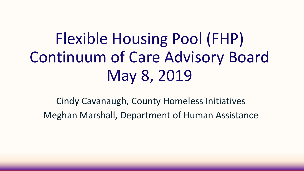# Flexible Housing Pool (FHP) Continuum of Care Advisory Board May 8, 2019

Cindy Cavanaugh, County Homeless Initiatives Meghan Marshall, Department of Human Assistance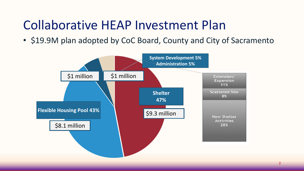#### Collaborative HEAP Investment Plan

• \$19.9M plan adopted by CoC Board, County and City of Sacramento

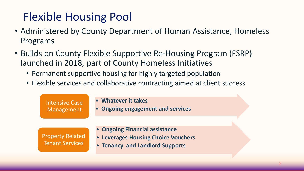### Flexible Housing Pool

- Administered by County Department of Human Assistance, Homeless Programs
- Builds on County Flexible Supportive Re-Housing Program (FSRP) launched in 2018, part of County Homeless Initiatives
	- Permanent supportive housing for highly targeted population
	- Flexible services and collaborative contracting aimed at client success

| <b>Intensive Case</b><br>Management        | • Whatever it takes<br>• Ongoing engagement and services                                                 |  |
|--------------------------------------------|----------------------------------------------------------------------------------------------------------|--|
| <b>Property Related</b><br>Tenant Services | • Ongoing Financial assistance<br>• Leverages Housing Choice Vouchers<br>• Tenancy and Landlord Supports |  |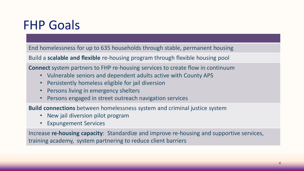### FHP Goals

End homelessness for up to 635 households through stable, permanent housing

Build a **scalable and flexible** re-housing program through flexible housing pool

**Connect** system partners to FHP re-housing services to create flow in continuum

- Vulnerable seniors and dependent adults active with County APS
- Persistently homeless eligible for jail diversion
- Persons living in emergency shelters
- Persons engaged in street outreach navigation services

**Build connections** between homelessness system and criminal justice system

- New jail diversion pilot program
- Expungement Services

Increase **re-housing capacity**: Standardize and improve re-housing and supportive services, training academy, system partnering to reduce client barriers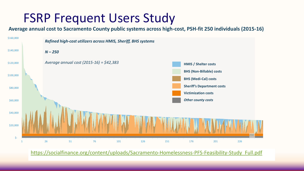#### FSRP Frequent Users Study

**Average annual cost to Sacramento County public systems across high-cost, PSH-fit 250 individuals (2015-16)**



[https://socialfinance.org/content/uploads/Sacramento-Homelessness-PFS-Feasibility-Study\\_Full.pdf](https://socialfinance.org/content/uploads/Sacramento-Homelessness-PFS-Feasibility-Study_Full.pdf)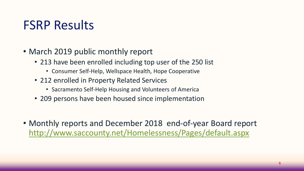### FSRP Results

- March 2019 public monthly report
	- 213 have been enrolled including top user of the 250 list
		- Consumer Self-Help, Wellspace Health, Hope Cooperative
	- 212 enrolled in Property Related Services
		- Sacramento Self-Help Housing and Volunteers of America
	- 209 persons have been housed since implementation
- Monthly reports and December 2018 end-of-year Board report <http://www.saccounty.net/Homelessness/Pages/default.aspx>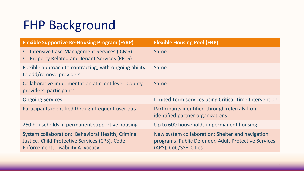## FHP Background

| <b>Flexible Supportive Re-Housing Program (FSRP)</b>                                                                                           | <b>Flexible Housing Pool (FHP)</b>                                                                                                 |
|------------------------------------------------------------------------------------------------------------------------------------------------|------------------------------------------------------------------------------------------------------------------------------------|
| <b>Intensive Case Management Services (ICMS)</b><br>$\bullet$<br><b>Property Related and Tenant Services (PRTS)</b><br>$\bullet$               | Same                                                                                                                               |
| Flexible approach to contracting, with ongoing ability<br>to add/remove providers                                                              | Same                                                                                                                               |
| Collaborative implementation at client level: County,<br>providers, participants                                                               | Same                                                                                                                               |
| <b>Ongoing Services</b>                                                                                                                        | Limited-term services using Critical Time Intervention                                                                             |
| Participants identified through frequent user data                                                                                             | Participants identified through referrals from<br>identified partner organizations                                                 |
| 250 households in permanent supportive housing                                                                                                 | Up to 600 households in permanent housing                                                                                          |
| System collaboration: Behavioral Health, Criminal<br>Justice, Child Protective Services (CPS), Code<br><b>Enforcement, Disability Advocacy</b> | New system collaboration: Shelter and navigation<br>programs, Public Defender, Adult Protective Services<br>(APS), CoC/SSF, Cities |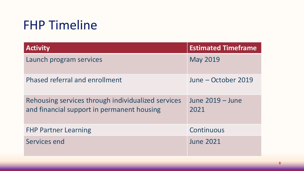### FHP Timeline

| <b>Activity</b>                                                                                  | <b>Estimated Timeframe</b> |
|--------------------------------------------------------------------------------------------------|----------------------------|
| Launch program services                                                                          | <b>May 2019</b>            |
| Phased referral and enrollment                                                                   | June – October 2019        |
| Rehousing services through individualized services<br>and financial support in permanent housing | June 2019 – June<br>2021   |
| <b>FHP Partner Learning</b>                                                                      | Continuous                 |
| Services end                                                                                     | <b>June 2021</b>           |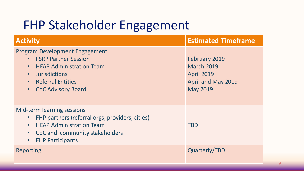# FHP Stakeholder Engagement

| <b>Activity</b>                                                                                                                                                                                                    | <b>Estimated Timeframe</b>                                                                              |
|--------------------------------------------------------------------------------------------------------------------------------------------------------------------------------------------------------------------|---------------------------------------------------------------------------------------------------------|
| <b>Program Development Engagement</b><br><b>FSRP Partner Session</b><br><b>HEAP Administration Team</b><br>$\bullet$<br><b>Jurisdictions</b><br><b>Referral Entities</b><br><b>CoC Advisory Board</b><br>$\bullet$ | February 2019<br><b>March 2019</b><br><b>April 2019</b><br><b>April and May 2019</b><br><b>May 2019</b> |
| <b>Mid-term learning sessions</b><br>FHP partners (referral orgs, providers, cities)<br><b>HEAP Administration Team</b><br>CoC and community stakeholders<br>$\bullet$<br><b>FHP Participants</b><br>$\bullet$     | <b>TBD</b>                                                                                              |
| Reporting                                                                                                                                                                                                          | Quarterly/TBD                                                                                           |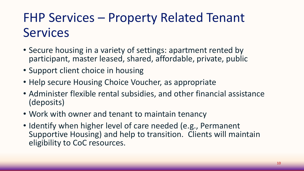# FHP Services – Property Related Tenant **Services**

- Secure housing in a variety of settings: apartment rented by participant, master leased, shared, affordable, private, public
- Support client choice in housing
- Help secure Housing Choice Voucher, as appropriate
- Administer flexible rental subsidies, and other financial assistance (deposits)
- Work with owner and tenant to maintain tenancy
- Identify when higher level of care needed (e.g., Permanent Supportive Housing) and help to transition. Clients will maintain eligibility to CoC resources.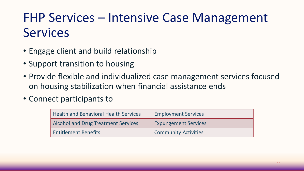# FHP Services – Intensive Case Management **Services**

- Engage client and build relationship
- Support transition to housing
- Provide flexible and individualized case management services focused on housing stabilization when financial assistance ends
- Connect participants to

| <b>Health and Behavioral Health Services</b> | <b>Employment Services</b>  |
|----------------------------------------------|-----------------------------|
| <b>Alcohol and Drug Treatment Services</b>   | <b>Expungement Services</b> |
| <b>Entitlement Benefits</b>                  | <b>Community Activities</b> |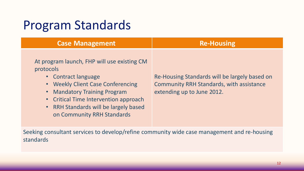#### Program Standards

| <b>Case Management</b>                                                                                                                                                                                                                                               | <b>Re-Housing</b>                                                                                                              |
|----------------------------------------------------------------------------------------------------------------------------------------------------------------------------------------------------------------------------------------------------------------------|--------------------------------------------------------------------------------------------------------------------------------|
| At program launch, FHP will use existing CM<br>protocols<br>• Contract language<br>• Weekly Client Case Conferencing<br>• Mandatory Training Program<br>• Critical Time Intervention approach<br>• RRH Standards will be largely based<br>on Community RRH Standards | Re-Housing Standards will be largely based on<br><b>Community RRH Standards, with assistance</b><br>extending up to June 2012. |

Seeking consultant services to develop/refine community wide case management and re-housing standards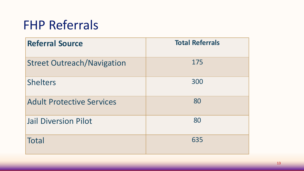## FHP Referrals

| <b>Referral Source</b>            | <b>Total Referrals</b> |
|-----------------------------------|------------------------|
| <b>Street Outreach/Navigation</b> | 175                    |
| <b>Shelters</b>                   | 300                    |
| <b>Adult Protective Services</b>  | 80                     |
| <b>Jail Diversion Pilot</b>       | 80                     |
| <b>Total</b>                      | 635                    |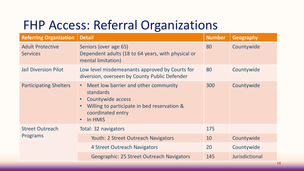## FHP Access: Referral Organizations

| <b>Referring Organization</b>              | <b>Detail</b>                                                                                                                                                      | <b>Number</b> | <b>Geography</b>      |
|--------------------------------------------|--------------------------------------------------------------------------------------------------------------------------------------------------------------------|---------------|-----------------------|
| <b>Adult Protective</b><br><b>Services</b> | Seniors (over age 65)<br>Dependent adults (18 to 64 years, with physical or<br>mental limitation)                                                                  | 80            | Countywide            |
| <b>Jail Diversion Pilot</b>                | Low level misdemeanants approved by Courts for<br>diversion, overseen by County Public Defender                                                                    | 80            | Countywide            |
| <b>Participating Shelters</b>              | Meet low barrier and other community<br>standards<br>Countywide access<br>Willing to participate in bed reservation &<br>coordinated entry<br>In HMIS<br>$\bullet$ | 300           | Countywide            |
| <b>Street Outreach</b><br>Programs         | Total: 32 navigators                                                                                                                                               | 175           |                       |
|                                            | <b>Youth: 2 Street Outreach Navigators</b>                                                                                                                         | 10            | Countywide            |
|                                            | 4 Street Outreach Navigators                                                                                                                                       | 20            | Countywide            |
|                                            | <b>Geographic: 25 Street Outreach Navigators</b>                                                                                                                   | 145           | <b>Jurisdictional</b> |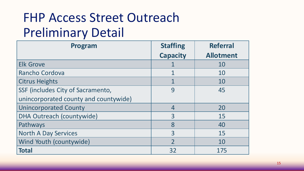# FHP Access Street Outreach Preliminary Detail

| Program                               | <b>Staffing</b> | <b>Referral</b>  |
|---------------------------------------|-----------------|------------------|
|                                       | <b>Capacity</b> | <b>Allotment</b> |
| <b>Elk Grove</b>                      |                 | 10               |
| Rancho Cordova                        | $\mathbf 1$     | 10               |
| <b>Citrus Heights</b>                 |                 | 10               |
| SSF (includes City of Sacramento,     | 9               | 45               |
| unincorporated county and countywide) |                 |                  |
| <b>Unincorporated County</b>          | $\overline{4}$  | 20               |
| DHA Outreach (countywide)             | 3               | 15               |
| Pathways                              | 8               | 40               |
| <b>North A Day Services</b>           | $\overline{3}$  | 15               |
| Wind Youth (countywide)               | $\overline{2}$  | 10               |
| <b>Total</b>                          | 32              | 175              |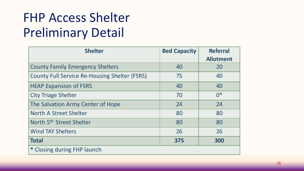# FHP Access Shelter Preliminary Detail

| <b>Shelter</b>                                       | <b>Bed Capacity</b> | <b>Referral</b>  |
|------------------------------------------------------|---------------------|------------------|
|                                                      |                     | <b>Allotment</b> |
| <b>County Family Emergency Shelters</b>              | 40                  | 20               |
| <b>County Full Service Re-Housing Shelter (FSRS)</b> | 75                  | 40               |
| <b>HEAP Expansion of FSRS</b>                        | 40                  | 40               |
| <b>City Triage Shelter</b>                           | 70                  | $0*$             |
| The Salvation Army Center of Hope                    | 24                  | 24               |
| North A Street Shelter                               | 80                  | 80               |
| North 5 <sup>th</sup> Street Shelter                 | 80                  | 80               |
| <b>Wind TAY Shelters</b>                             | 26                  | 26               |
| <b>Total</b>                                         | 375                 | 300              |
| * Closing during FHP launch                          |                     |                  |